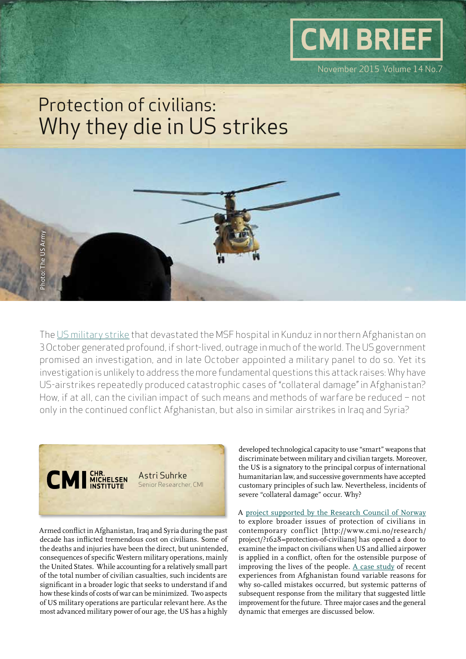# Protection of civilians: Why they die in US strikes

The [US military strike](http://www.doctorswithoutborders.org/article/afghanistan-msf-demands-explanations-after-deadly-airstrikes-hit-hospital-kunduz) that devastated the MSF hospital in Kunduz in northern Afghanistan on 3 October generated profound, if short-lived, outrage in much of the world. The US government promised an investigation, and in late October appointed a military panel to do so. Yet its investigation is unlikely to address the more fundamental questions this attack raises: Why have US-airstrikes repeatedly produced catastrophic cases of "collateral damage" in Afghanistan? How, if at all, can the civilian impact of such means and methods of warfare be reduced – not only in the continued conflict Afghanistan, but also in similar airstrikes in Iraq and Syria?



Armed conflict in Afghanistan, Iraq and Syria during the past decade has inflicted tremendous cost on civilians. Some of the deaths and injuries have been the direct, but unintended, consequences of specific Western military operations, mainly the United States. While accounting for a relatively small part of the total number of civilian casualties, such incidents are significant in a broader logic that seeks to understand if and how these kinds of costs of war can be minimized. Two aspects of US military operations are particular relevant here. As the most advanced military power of our age, the US has a highly

developed technological capacity to use "smart" weapons that discriminate between military and civilian targets. Moreover, the US is a signatory to the principal corpus of international humanitarian law, and successive governments have accepted customary principles of such law. Nevertheless, incidents of severe "collateral damage" occur. Why?

November 2015 Volume 14 No.7

**CMI BRIEF**

A [project supported by the Research Council of Norway](http://www.cmi.no/research/project/?1628=protection-of-civilians) to explore broader issues of protection of civilians in contemporary conflict [http://www.cmi.no/research/ project/?1628=protection-of-civilians] has opened a door to examine the impact on civilians when US and allied airpower is applied in a conflict, often for the ostensible purpose of improving the lives of the people.  $A$  case study of recent experiences from Afghanistan found variable reasons for why so-called mistakes occurred, but systemic patterns of subsequent response from the military that suggested little improvement for the future. Three major cases and the general dynamic that emerges are discussed below.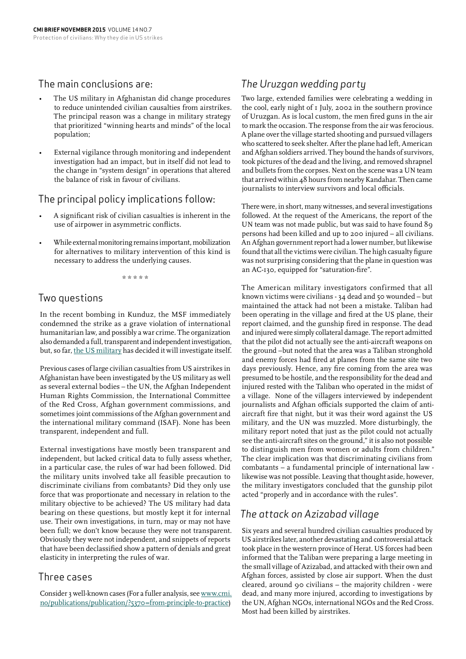#### The main conclusions are:

- The US military in Afghanistan did change procedures to reduce unintended civilian causalties from airstrikes. The principal reason was a change in military strategy that prioritized "winning hearts and minds" of the local population;
- External vigilance through monitoring and independent investigation had an impact, but in itself did not lead to the change in "system design" in operations that altered the balance of risk in favour of civilians.

#### The principal policy implications follow:

- A significant risk of civilian casualties is inherent in the use of airpower in asymmetric conflicts.
- While external monitoring remains important, mobilization for alternatives to military intervention of this kind is necessary to address the underlying causes.

\* \* \* \* \*

#### Two questions

In the recent bombing in Kunduz, the MSF immediately condemned the strike as a grave violation of international humanitarian law, and possibly a war crime. The organization also demanded a full, transparent and independent investigation, but, so far, [the US military](http://www.washingtontimes.com/news/2015/oct/24/gen-john-f-campbell-picks-maj-gen-william-b-hickma/) has decided it will investigate itself.

Previous cases of large civilian casualties from US airstrikes in Afghanistan have been investigated by the US military as well as several external bodies – the UN, the Afghan Independent Human Rights Commission, the International Committee of the Red Cross, Afghan government commissions, and sometimes joint commissions of the Afghan government and the international military command (ISAF). None has been transparent, independent and full.

External investigations have mostly been transparent and independent, but lacked critical data to fully assess whether, in a particular case, the rules of war had been followed. Did the military units involved take all feasible precaution to discriminate civilians from combatants? Did they only use force that was proportionate and necessary in relation to the military objective to be achieved? The US military had data bearing on these questions, but mostly kept it for internal use. Their own investigations, in turn, may or may not have been full; we don't know because they were not transparent. Obviously they were not independent, and snippets of reports that have been declassified show a pattern of denials and great elasticity in interpreting the rules of war.

#### Three cases

Consider 3 well-known cases (For a fuller analysis, see [www.cmi.](http://www.cmi.no/publications/publication/?5370=from-principle-to-practice) [no/publications/publication/?5370=from-principle-to-practice](http://www.cmi.no/publications/publication/?5370=from-principle-to-practice))

### *The Uruzgan wedding party*

Two large, extended families were celebrating a wedding in the cool, early night of 1 July, 2002 in the southern province of Uruzgan. As is local custom, the men fired guns in the air to mark the occasion. The response from the air was ferocious. A plane over the village started shooting and pursued villagers who scattered to seek shelter. After the plane had left, American and Afghan soldiers arrived. They bound the hands of survivors, took pictures of the dead and the living, and removed shrapnel and bullets from the corpses. Next on the scene was a UN team that arrived within 48 hours from nearby Kandahar. Then came journalists to interview survivors and local officials.

There were, in short, many witnesses, and several investigations followed. At the request of the Americans, the report of the UN team was not made public, but was said to have found 89 persons had been killed and up to 200 injured – all civilians. An Afghan government report had a lower number, but likewise found that all the victims were civilian. The high casualty figure was not surprising considering that the plane in question was an AC-130, equipped for "saturation-fire".

The American military investigators confirmed that all known victims were civilians - 34 dead and 50 wounded – but maintained the attack had not been a mistake. Taliban had been operating in the village and fired at the US plane, their report claimed, and the gunship fired in response. The dead and injured were simply collateral damage. The report admitted that the pilot did not actually see the anti-aircraft weapons on the ground –but noted that the area was a Taliban stronghold and enemy forces had fired at planes from the same site two days previously. Hence, any fire coming from the area was presumed to be hostile, and the responsibility for the dead and injured rested with the Taliban who operated in the midst of a village. None of the villagers interviewed by independent journalists and Afghan officials supported the claim of antiaircraft fire that night, but it was their word against the US military, and the UN was muzzled. More disturbingly, the military report noted that just as the pilot could not actually see the anti-aircraft sites on the ground," it is also not possible to distinguish men from women or adults from children." The clear implication was that discriminating civilians from combatants – a fundamental principle of international law likewise was not possible. Leaving that thought aside, however, the military investigators concluded that the gunship pilot acted "properly and in accordance with the rules".

#### *The attack on Azizabad village*

Six years and several hundred civilian casualties produced by US airstrikes later, another devastating and controversial attack took place in the western province of Herat. US forces had been informed that the Taliban were preparing a large meeting in the small village of Azizabad, and attacked with their own and Afghan forces, assisted by close air support. When the dust cleared, around 90 civilians – the majority children - were dead, and many more injured, according to investigations by the UN, Afghan NGOs, international NGOs and the Red Cross. Most had been killed by airstrikes.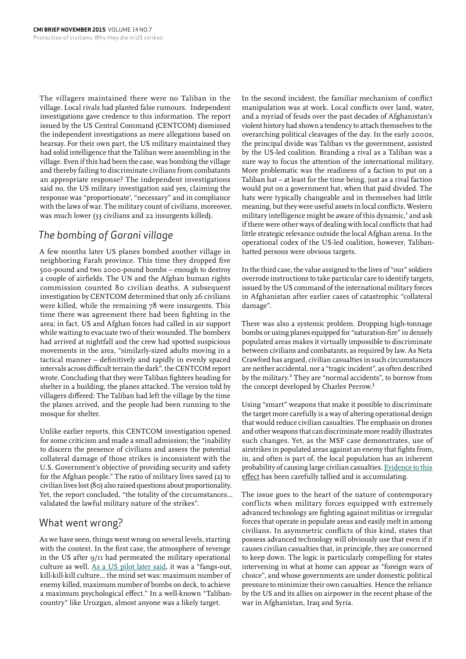The villagers maintained there were no Taliban in the village. Local rivals had planted false rumours. Independent investigations gave credence to this information. The report issued by the US Central Command (CENTCOM) dismissed the independent investigations as mere allegations based on hearsay. For their own part, the US military maintained they had solid intelligence that the Taliban were assembling in the village. Even if this had been the case, was bombing the village and thereby failing to discriminate civilians from combatants an appropriate response? The independent investigations said no, the US military investigation said yes, claiming the response was "proportionate', "necessary" and in compliance with the laws of war. The military count of civilians, moreover, was much lower (33 civilians and 22 insurgents killed).

## *The bombing of Garani village*

A few months later US planes bombed another village in neighboring Farah province. This time they dropped five 500-pound and two 2000-pound bombs – enough to destroy a couple of airfields. The UN and the Afghan human rights commission counted 80 civilian deaths. A subsequent investigation by CENTCOM determined that only 26 civilians were killed, while the remaining 78 were insurgents. This time there was agreement there had been fighting in the area; in fact, US and Afghan forces had called in air support while waiting to evacuate two of their wounded. The bombers had arrived at nightfall and the crew had spotted suspicious movements in the area, "similarly-sized adults moving in a tactical manner – definitively and rapidly in evenly spaced intervals across difficult terrain the dark", the CENTCOM report wrote. Concluding that they were Taliban fighters heading for shelter in a building, the planes attacked. The version told by villagers differed: The Taliban had left the village by the time the planes arrived, and the people had been running to the mosque for shelter.

Unlike earlier reports, this CENTCOM investigation opened for some criticism and made a small admission; the "inability to discern the presence of civilians and assess the potential collateral damage of those strikes is inconsistent with the U.S. Government's objective of providing security and safety for the Afghan people." The ratio of military lives saved (2) to civilian lives lost (80) also raised questions about proportionality. Yet, the report concluded, "the totality of the circumstances… validated the lawful military nature of the strikes".

#### What went wrong?

As we have seen, things went wrong on several levels, starting with the context. In the first case, the atmosphere of revenge in the US after  $q/II$  had permeated the military operational culture as well. [As a US pilot later said](http://www.nytimes.com/2012/01/16/world/asia/afghan-war-reflects-changes-in-air-war.html?_r=2&ref=world), it was a "fangs-out, kill-kill-kill culture… the mind set was: maximum number of enemy killed, maximum number of bombs on deck, to achieve a maximum psychological effect." In a well-known "Talibancountry" like Uruzgan, almost anyone was a likely target.

In the second incident, the familiar mechanism of conflict manipulation was at work. Local conflicts over land, water, and a myriad of feuds over the past decades of Afghanistan's violent history had shown a tendency to attach themselves to the overarching political cleavages of the day. In the early 2000s, the principal divide was Taliban vs the government, assisted by the US-led coalition. Branding a rival as a Taliban was a sure way to focus the attention of the international military. More problematic was the readiness of a faction to put on a Taliban hat – at least for the time being, just as a rival faction would put on a government hat, when that paid divided. The hats were typically changeable and in themselves had little meaning, but they were useful assets in local conflicts. Western military intelligence might be aware of this dynamic,<sup>1</sup> and ask if there were other ways of dealing with local conflicts that had little strategic relevance outside the local Afghan arena. In the operational codex of the US-led coalition, however, Talibanhatted persons were obvious targets.

In the third case, the value assigned to the lives of "our" soldiers overrode instructions to take particular care to identify targets, issued by the US command of the international military forces in Afghanistan after earlier cases of catastrophic "collateral damage".

There was also a systemic problem. Dropping high-tonnage bombs or using planes equipped for "saturation-fire" in densely populated areas makes it virtually impossible to discriminate between civilians and combatants, as required by law. As Neta Crawford has argued, civilian casualties in such circumstances are neither accidental, nor a "tragic incident", as often described by the military.<sup>2</sup> They are "normal accidents", to borrow from the concept developed by Charles Perrow.<sup>3</sup>

Using "smart" weapons that make it possible to discriminate the target more carefully is a way of altering operational design that would reduce civilian casualties. The emphasis on drones and other weapons that can discriminate more readily illustrates such changes. Yet, as the MSF case demonstrates, use of airstrikes in populated areas against an enemy that fights from, in, and often is part of, the local population has an inherent probability of causing large civilian casualties. [Evidence to this](https://www.thebureauinvestigates.com/category/projects/drones/drones-graphs/)  [effect](https://www.thebureauinvestigates.com/category/projects/drones/drones-graphs/) has been carefully tallied and is accumulating.

The issue goes to the heart of the nature of contemporary conflicts when military forces equipped with extremely advanced technology are fighting against militias or irregular forces that operate in populate areas and easily melt in among civilians. In asymmetric conflicts of this kind, states that possess advanced technology will obviously use that even if it causes civilian casualties that, in principle, they are concerned to keep down. The logic is particularly compelling for states intervening in what at home can appear as "foreign wars of choice", and whose governments are under domestic political pressure to minimize their own casualties. Hence the reliance by the US and its allies on airpower in the recent phase of the war in Afghanistan, Iraq and Syria.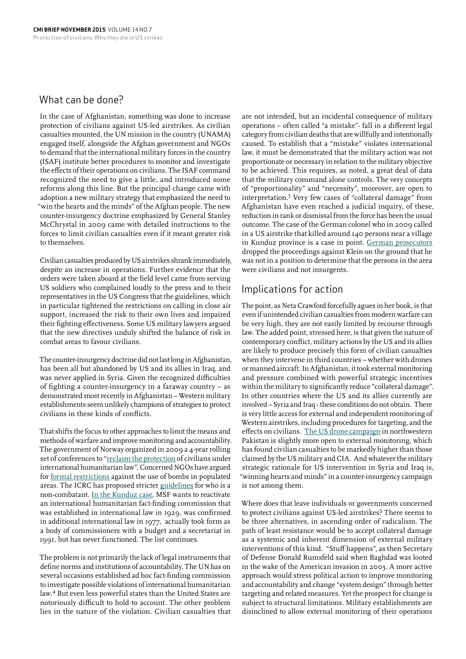#### What can be done?

In the case of Afghanistan, something was done to increase protection of civilians against US-led airstrikes. As civilian casualties mounted, the UN mission in the country (UNAMA) engaged itself, alongside the Afghan government and NGOs to demand that the international military forces in the country (ISAF) institute better procedures to monitor and investigate the effects of their operations on civilians. The ISAF command recognized the need to give a little, and introduced some reforms along this line. But the principal change came with adoption a new military strategy that emphasized the need to "win the hearts and the minds" of the Afghan people. The new counter-insurgency doctrine emphasized by General Stanley McChrystal in 2009 came with detailed instructions to the forces to limit civilian casualties even if it meant greater risk to themselves.

Civilian casualties produced by US airstrikes shrank immediately, despite an increase in operations. Further evidence that the orders were taken aboard at the field level came from serving US soldiers who complained loudly to the press and to their representatives in the US Congress that the guidelines, which in particular tightened the restrictions on calling in close air support, increased the risk to their own lives and impaired their fighting effectiveness. Some US military lawyers argued that the new directives unduly shifted the balance of risk in combat areas to favour civilians.

The counter-insurgency doctrine did not last long in Afghanistan, has been all but abandoned by US and its allies in Iraq, and was never applied in Syria. Given the recognized difficulties of fighting a counter-insurgency in a faraway country – as demonstrated most recently in Afghanistan – Western military establishments seem unlikely champions of strategies to protect civilians in these kinds of conflicts.

That shifts the focus to other approaches to limit the means and methods of warfare and improve monitoring and accountability. The government of Norway organized in 2009 a 4-year rolling set of conferences to ["reclaim the protection](http://www.regjeringen.no/en/dep/ud/whats-new/Speeches-and-articles/e_speeches/2013/statement_conference.html?id=727433) of civilians under international humanitarian law". Concerned NGOs have argued for [formal restrictions](http://www.article36.org) against the use of bombs in populated areas. The ICRC has proposed stricter [guidelines](https://www.icrc.org/eng/resources/documents/publication/p0990.htm) for who is a non-combatant. [In the Kunduz case,](http://www.icrc.org/eng/resources/documents/publication/p0990.htm) MSF wants to reactivate an international humanitarian fact-finding commission that was established in international law in 1929, was confirmed in additional international law in 1977, actually took form as a body of commissioners with a budget and a secretariat in 1991, but has never functioned. The list continues.

The problem is not primarily the lack of legal instruments that define norms and institutions of accountability. The UN has on several occasions established ad hoc fact-finding commission to investigate possible violations of international humanitarian law.<sup>4</sup> But even less powerful states than the United States are notoriously difficult to hold to account. The other problem lies in the nature of the violation. Civilian casualties that

are not intended, but an incidental consequence of military operations – often called "a mistake"- fall in a different legal category from civilian deaths that are willfully and intentionally caused. To establish that a "mistake" violates international law, it must be demonstrated that the military action was not proportionate or necessary in relation to the military objective to be achieved. This requires, as noted, a great deal of data that the military command alone controls. The very concepts of "proportionality" and "necessity", moreover, are open to interpretation.5 Very few cases of "collateral damage" from Afghanistan have even reached a judicial inquiry, of these, reduction in rank or dismissal from the force has been the usual outcome. The case of the German colonel who in 2009 called in a US airstrike that killed around 140 persons near a village in Kunduz province is a case in point. [German prosecutors](http://www.geneva-academy.ch/RULAC/pdf_state/ECCHR-Kunduz-A-Year-After.pdf)  dropped the proceedings against Klein on the ground that he was not in a position to determine that the persons in the area were civilians and not insurgents.

#### Implications for action

The point, as Neta Crawford forcefully agues in her book, is that even if unintended civilian casualties from modern warfare can be very high, they are not easily limited by recourse through law. The added point, stressed here, is that given the nature of contemporary conflict, military actions by the US and its allies are likely to produce precisely this form of civilian casualties when they intervene in third countries – whether with drones or manned aircraft. In Afghanistan, it took external monitoring and pressure combined with powerful strategic incentives within the military to significantly reduce "collateral damage". In other countries where the US and its allies currently are involved – Syria and Iraq - these conditions do not obtain. There is very little access for external and independent monitoring of Western airstrikes, including procedures for targeting, and the effects on civilians. [The US drone campaign](http://chrgj.org/wp-content/uploads/2012/10/Living-Under-Drones.pdf) in northwestern Pakistan is slightly more open to external monitoring, which has found civilian casualties to be markedly higher than those claimed by the US military and CIA. And whatever the military strategic rationale for US intervention in Syria and Iraq is, "winning hearts and minds" in a counter-insurgency campaign is not among them.

Where does that leave individuals or governments concerned to protect civilians against US-led airstrikes? There seems to be three alternatives, in ascending order of radicalism. The path of least resistance would be to accept collateral damage as a systemic and inherent dimension of external military interventions of this kind. "Stuff happens", as then Secretary of Defense Donald Rumsfeld said when Baghdad was looted in the wake of the American invasion in 2003. A more active approach would stress political action to improve monitoring and accountability and change "system design" through better targeting and related measures. Yet the prospect for change is subject to structural limitations. Military establishments are disinclined to allow external monitoring of their operations